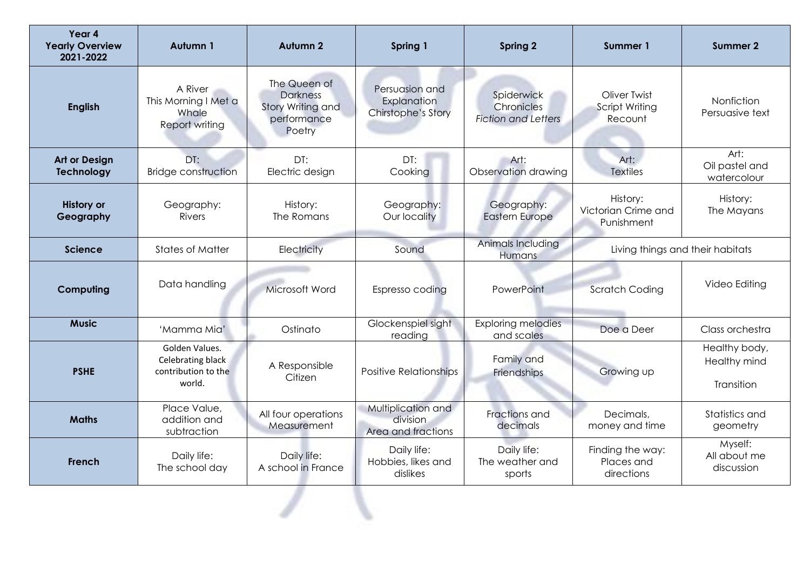| Year 4<br><b>Yearly Overview</b><br>2021-2022 | Autumn 1                                                             | <b>Autumn 2</b>                                                               | Spring 1                                             | <b>Spring 2</b>                                        | Summer 1                                                | Summer 2                                    |
|-----------------------------------------------|----------------------------------------------------------------------|-------------------------------------------------------------------------------|------------------------------------------------------|--------------------------------------------------------|---------------------------------------------------------|---------------------------------------------|
| <b>English</b>                                | A River<br>This Morning I Met a<br>Whale<br><b>Report writing</b>    | The Queen of<br><b>Darkness</b><br>Story Writing and<br>performance<br>Poetry | Persuasion and<br>Explanation<br>Chirstophe's Story  | Spiderwick<br>Chronicles<br><b>Fiction and Letters</b> | <b>Oliver Twist</b><br><b>Script Writing</b><br>Recount | Nonfiction<br>Persuasive text               |
| <b>Art or Design</b><br>Technology            | DT:<br><b>Bridge construction</b>                                    | DT:<br>Electric design                                                        | DT:<br>Cooking                                       | Art:<br>Observation drawing                            | Art:<br><b>Textiles</b>                                 | Art:<br>Oil pastel and<br>watercolour       |
| <b>History or</b><br>Geography                | Geography:<br><b>Rivers</b>                                          | History:<br>The Romans                                                        | Geography:<br>Our locality                           | Geography:<br>Eastern Europe                           | History:<br>Victorian Crime and<br>Punishment           | History:<br>The Mayans                      |
| <b>Science</b>                                | <b>States of Matter</b>                                              | Electricity                                                                   | Sound                                                | Animals Including<br>Humans                            | Living things and their habitats                        |                                             |
| Computing                                     | Data handling                                                        | Microsoft Word                                                                | Espresso coding                                      | PowerPoint                                             | <b>Scratch Coding</b>                                   | Video Editing                               |
| <b>Music</b>                                  | 'Mamma Mia'                                                          | Ostinato                                                                      | Glockenspiel sight<br>reading                        | <b>Exploring melodies</b><br>and scales                | Doe a Deer                                              | Class orchestra                             |
| <b>PSHE</b>                                   | Golden Values.<br>Celebrating black<br>contribution to the<br>world. | A Responsible<br>Citizen                                                      | <b>Positive Relationships</b>                        | Family and<br>Friendships                              | Growing up                                              | Healthy body,<br>Healthy mind<br>Transition |
| <b>Maths</b>                                  | Place Value,<br>addition and<br>subtraction                          | All four operations<br>Measurement                                            | Multiplication and<br>division<br>Area and fractions | <b>Fractions</b> and<br>decimals                       | Decimals,<br>money and time                             | Statistics and<br>geometry                  |
| French                                        | Daily life:<br>The school day                                        | Daily life:<br>A school in France                                             | Daily life:<br>Hobbies, likes and<br>dislikes        | Daily life:<br>The weather and<br>sports               | Finding the way:<br>Places and<br>directions            | Myself:<br>All about me<br>discussion       |